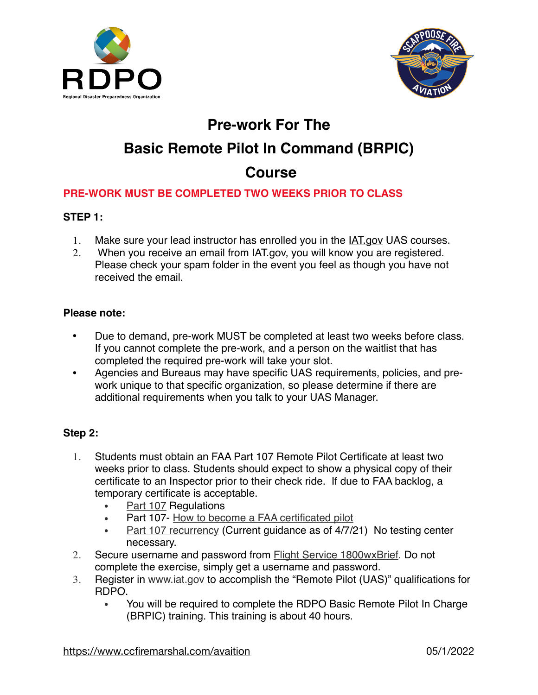



## **Pre-work For The**

# **Basic Remote Pilot In Command (BRPIC)**

## **Course**

### **PRE-WORK MUST BE COMPLETED TWO WEEKS PRIOR TO CLASS**

#### **STEP 1:**

- 1. Make sure your lead instructor has enrolled you in the [IAT.gov](http://IAT.gov) UAS courses.
- 2. When you receive an email from IAT.gov, you will know you are registered. Please check your spam folder in the event you feel as though you have not received the email.

#### **Please note:**

- Due to demand, pre-work MUST be completed at least two weeks before class. If you cannot complete the pre-work, and a person on the waitlist that has completed the required pre-work will take your slot.
- Agencies and Bureaus may have specific UAS requirements, policies, and prework unique to that specific organization, so please determine if there are additional requirements when you talk to your UAS Manager.

#### **Step 2:**

- 1. Students must obtain an FAA Part 107 Remote Pilot Certificate at least two weeks prior to class. Students should expect to show a physical copy of their certificate to an Inspector prior to their check ride. If due to FAA backlog, a temporary certificate is acceptable.
	- [Part 107](https://www.ecfr.gov/cgi-bin/text-idx?SID=0adc48ef3ea876cd6e7957c50da31bab&mc=true&node=pt14.2.107&rgn=div5) Regulations
	- Part 107- [How to become a FAA certificated pilot](https://www.faa.gov/uas/commercial_operators/become_a_drone_pilot/)
	- [Part 107 recurrency](https://www.faa.gov/news/updates/?newsId=97201) (Current guidance as of 4/7/21) No testing center necessary.
- 2. Secure username and password from [Flight Service 1800wxBrief.](https://www.1800wxbrief.com/) Do not complete the exercise, simply get a username and password.
- 3. Register in [www.iat.gov](https://www.iat.gov/) to accomplish the "Remote Pilot (UAS)" qualifications for RDPO.
	- You will be required to complete the RDPO Basic Remote Pilot In Charge (BRPIC) training. This training is about 40 hours.